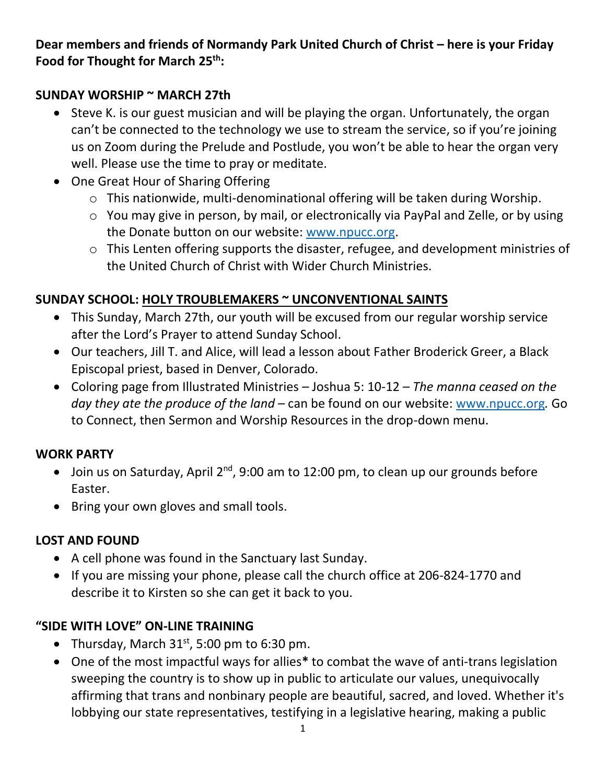**Dear members and friends of Normandy Park United Church of Christ – here is your Friday Food for Thought for March 25th:**

#### **SUNDAY WORSHIP ~ MARCH 27th**

- Steve K. is our guest musician and will be playing the organ. Unfortunately, the organ can't be connected to the technology we use to stream the service, so if you're joining us on Zoom during the Prelude and Postlude, you won't be able to hear the organ very well. Please use the time to pray or meditate.
- One Great Hour of Sharing Offering
	- o This nationwide, multi-denominational offering will be taken during Worship.
	- o You may give in person, by mail, or electronically via PayPal and Zelle, or by using the Donate button on our website: [www.npucc.org.](http://www.npucc.org/)
	- o This Lenten offering supports the disaster, refugee, and development ministries of the United Church of Christ with Wider Church Ministries.

# **SUNDAY SCHOOL: HOLY TROUBLEMAKERS ~ UNCONVENTIONAL SAINTS**

- This Sunday, March 27th, our youth will be excused from our regular worship service after the Lord's Prayer to attend Sunday School.
- Our teachers, Jill T. and Alice, will lead a lesson about Father Broderick Greer, a Black Episcopal priest, based in Denver, Colorado.
- Coloring page from Illustrated Ministries Joshua 5: 10-12 *The manna ceased on the day they ate the produce of the land* – can be found on our website: [www.npucc.org](http://www.npucc.org/)*.* Go to Connect, then Sermon and Worship Resources in the drop-down menu.

#### **WORK PARTY**

- Join us on Saturday, April  $2^{nd}$ , 9:00 am to 12:00 pm, to clean up our grounds before Easter.
- Bring your own gloves and small tools.

# **LOST AND FOUND**

- A cell phone was found in the Sanctuary last Sunday.
- If you are missing your phone, please call the church office at 206-824-1770 and describe it to Kirsten so she can get it back to you.

# **"SIDE WITH LOVE" ON-LINE TRAINING**

- Thursday, March  $31<sup>st</sup>$ , 5:00 pm to 6:30 pm.
- One of the most impactful ways for allies**\*** to combat the wave of anti-trans legislation sweeping the country is to show up in public to articulate our values, unequivocally affirming that trans and nonbinary people are beautiful, sacred, and loved. Whether it's lobbying our state representatives, testifying in a legislative hearing, making a public